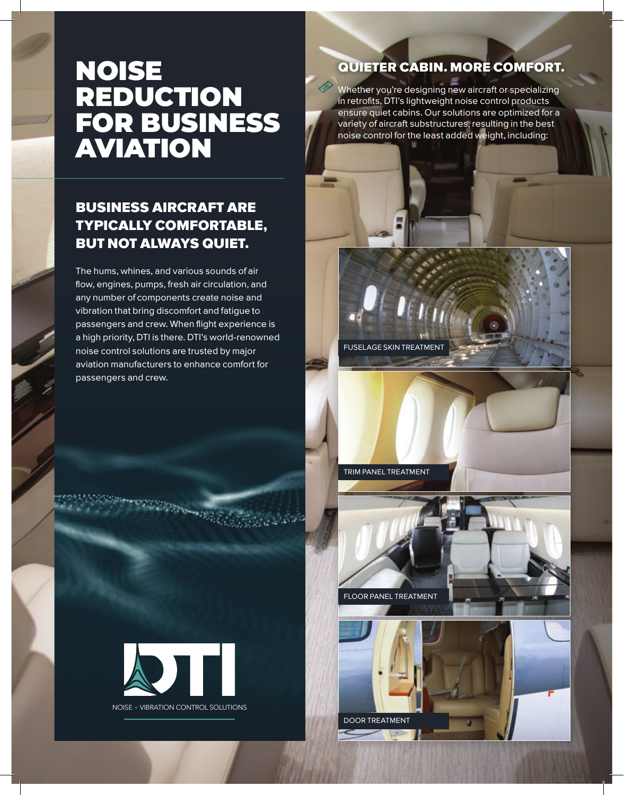## NOISE REDUCTION FOR BUSINESS AVIATION

### BUSINESS AIRCRAFT ARE TYPICALLY COMFORTABLE, BUT NOT ALWAYS QUIET.

The hums, whines, and various sounds of air flow, engines, pumps, fresh air circulation, and any number of components create noise and vibration that bring discomfort and fatigue to passengers and crew. When flight experience is a high priority, DTI is there. DTI's world-renowned noise control solutions are trusted by major aviation manufacturers to enhance comfort for passengers and crew.

## QUIETER CABIN. MORE COMFORT.

Whether you're designing new aircraft or specializing in retrofits, DTI's lightweight noise control products ensure quiet cabins. Our solutions are optimized for a variety of aircraft substructures, resulting in the best noise control for the least added weight, including:



FLOOR PANEL TREATMENT

DOOR TREATMENT

FUSELAGE SKIN TREATMENT



**Convertible Co.** 

NOISE + VIBRATION CONTROL SOLUTIONS